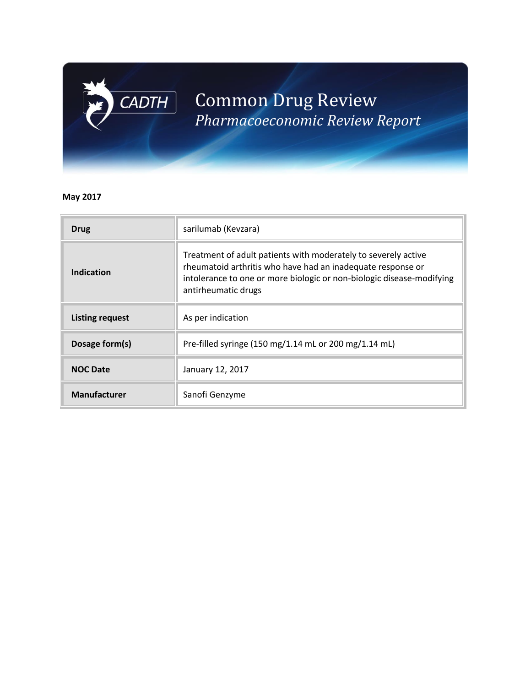# Common Drug Review *Pharmacoeconomic Review Report*

## **May 2017**

 $\boxed{\mathsf{CADTH}}$ 

| <b>Drug</b>            | sarilumab (Kevzara)                                                                                                                                                                                                           |  |  |  |  |  |  |
|------------------------|-------------------------------------------------------------------------------------------------------------------------------------------------------------------------------------------------------------------------------|--|--|--|--|--|--|
| Indication             | Treatment of adult patients with moderately to severely active<br>rheumatoid arthritis who have had an inadequate response or<br>intolerance to one or more biologic or non-biologic disease-modifying<br>antirheumatic drugs |  |  |  |  |  |  |
| <b>Listing request</b> | As per indication                                                                                                                                                                                                             |  |  |  |  |  |  |
| Dosage form(s)         | Pre-filled syringe (150 mg/1.14 mL or 200 mg/1.14 mL)                                                                                                                                                                         |  |  |  |  |  |  |
| <b>NOC Date</b>        | January 12, 2017                                                                                                                                                                                                              |  |  |  |  |  |  |
| <b>Manufacturer</b>    | Sanofi Genzyme                                                                                                                                                                                                                |  |  |  |  |  |  |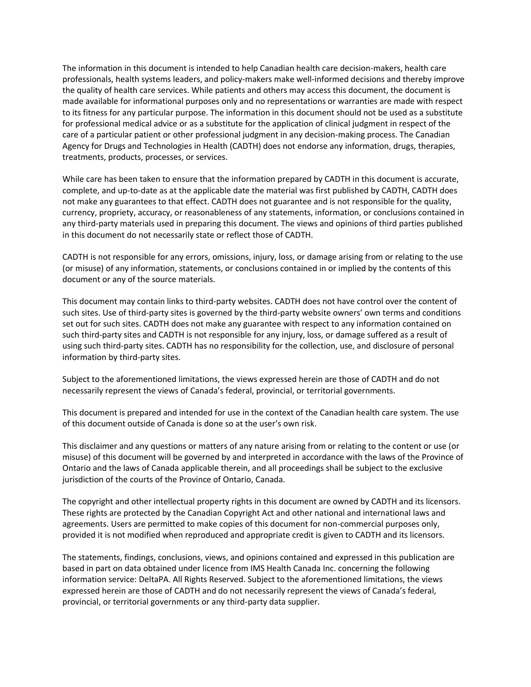The information in this document is intended to help Canadian health care decision-makers, health care professionals, health systems leaders, and policy-makers make well-informed decisions and thereby improve the quality of health care services. While patients and others may access this document, the document is made available for informational purposes only and no representations or warranties are made with respect to its fitness for any particular purpose. The information in this document should not be used as a substitute for professional medical advice or as a substitute for the application of clinical judgment in respect of the care of a particular patient or other professional judgment in any decision-making process. The Canadian Agency for Drugs and Technologies in Health (CADTH) does not endorse any information, drugs, therapies, treatments, products, processes, or services.

While care has been taken to ensure that the information prepared by CADTH in this document is accurate, complete, and up-to-date as at the applicable date the material was first published by CADTH, CADTH does not make any guarantees to that effect. CADTH does not guarantee and is not responsible for the quality, currency, propriety, accuracy, or reasonableness of any statements, information, or conclusions contained in any third-party materials used in preparing this document. The views and opinions of third parties published in this document do not necessarily state or reflect those of CADTH.

CADTH is not responsible for any errors, omissions, injury, loss, or damage arising from or relating to the use (or misuse) of any information, statements, or conclusions contained in or implied by the contents of this document or any of the source materials.

This document may contain links to third-party websites. CADTH does not have control over the content of such sites. Use of third-party sites is governed by the third-party website owners' own terms and conditions set out for such sites. CADTH does not make any guarantee with respect to any information contained on such third-party sites and CADTH is not responsible for any injury, loss, or damage suffered as a result of using such third-party sites. CADTH has no responsibility for the collection, use, and disclosure of personal information by third-party sites.

Subject to the aforementioned limitations, the views expressed herein are those of CADTH and do not necessarily represent the views of Canada's federal, provincial, or territorial governments.

This document is prepared and intended for use in the context of the Canadian health care system. The use of this document outside of Canada is done so at the user's own risk.

This disclaimer and any questions or matters of any nature arising from or relating to the content or use (or misuse) of this document will be governed by and interpreted in accordance with the laws of the Province of Ontario and the laws of Canada applicable therein, and all proceedings shall be subject to the exclusive jurisdiction of the courts of the Province of Ontario, Canada.

The copyright and other intellectual property rights in this document are owned by CADTH and its licensors. These rights are protected by the Canadian Copyright Act and other national and international laws and agreements. Users are permitted to make copies of this document for non-commercial purposes only, provided it is not modified when reproduced and appropriate credit is given to CADTH and its licensors.

The statements, findings, conclusions, views, and opinions contained and expressed in this publication are based in part on data obtained under licence from IMS Health Canada Inc. concerning the following information service: DeltaPA. All Rights Reserved. Subject to the aforementioned limitations, the views expressed herein are those of CADTH and do not necessarily represent the views of Canada's federal, provincial, or territorial governments or any third-party data supplier.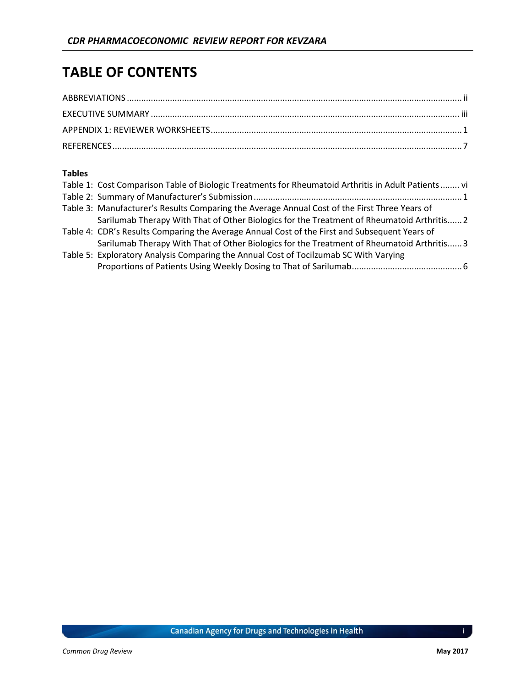# **TABLE OF CONTENTS**

### **Tables**

| Table 1: Cost Comparison Table of Biologic Treatments for Rheumatoid Arthritis in Adult Patients vi |
|-----------------------------------------------------------------------------------------------------|
|                                                                                                     |
| Table 3: Manufacturer's Results Comparing the Average Annual Cost of the First Three Years of       |
| Sarilumab Therapy With That of Other Biologics for the Treatment of Rheumatoid Arthritis 2          |
| Table 4: CDR's Results Comparing the Average Annual Cost of the First and Subsequent Years of       |
| Sarilumab Therapy With That of Other Biologics for the Treatment of Rheumatoid Arthritis 3          |
| Table 5: Exploratory Analysis Comparing the Annual Cost of Tocilzumab SC With Varying               |
|                                                                                                     |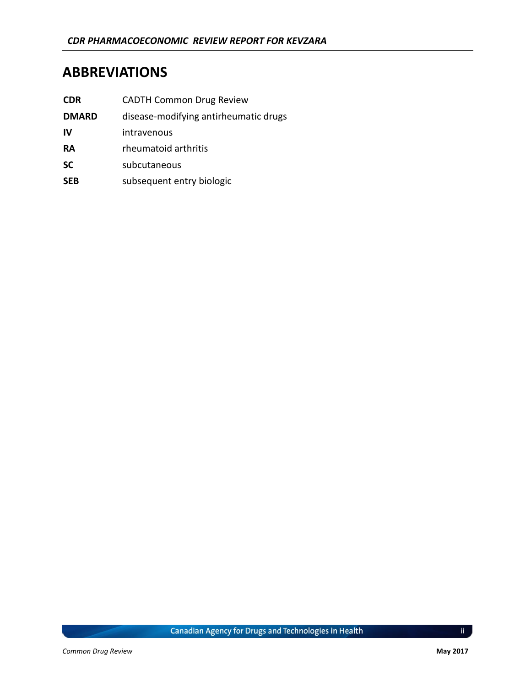## <span id="page-3-0"></span>**ABBREVIATIONS**

| <b>CDR</b>   | <b>CADTH Common Drug Review</b>       |
|--------------|---------------------------------------|
| <b>DMARD</b> | disease-modifying antirheumatic drugs |
| IV           | intravenous                           |
| RA           | rheumatoid arthritis                  |
| <b>SC</b>    | subcutaneous                          |

**SEB** subsequent entry biologic

Canadian Agency for Drugs and Technologies in Health

 $\mathbf{ii}$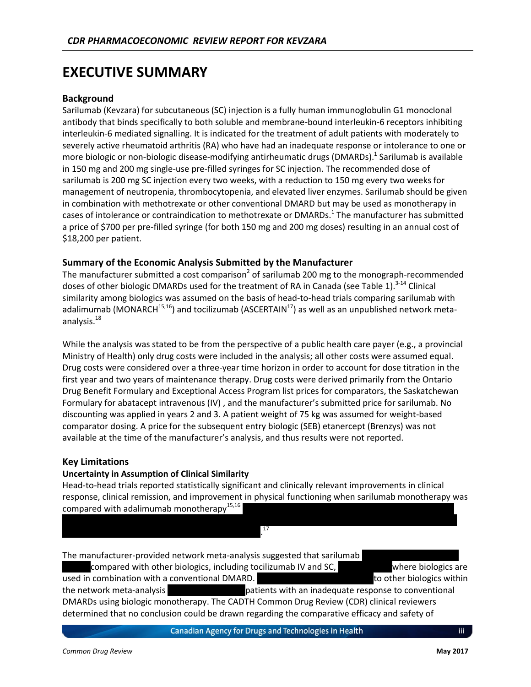## <span id="page-4-0"></span>**EXECUTIVE SUMMARY**

#### **Background**

Sarilumab (Kevzara) for subcutaneous (SC) injection is a fully human immunoglobulin G1 monoclonal antibody that binds specifically to both soluble and membrane-bound interleukin-6 receptors inhibiting interleukin-6 mediated signalling. It is indicated for the treatment of adult patients with moderately to severely active rheumatoid arthritis (RA) who have had an inadequate response or intolerance to one or more biologic or non-biologic disease-modifying antirheumatic drugs (DMARDs).<sup>1</sup> Sarilumab is available in 150 mg and 200 mg single-use pre-filled syringes for SC injection. The recommended dose of sarilumab is 200 mg SC injection every two weeks, with a reduction to 150 mg every two weeks for management of neutropenia, thrombocytopenia, and elevated liver enzymes. Sarilumab should be given in combination with methotrexate or other conventional DMARD but may be used as monotherapy in cases of intolerance or contraindication to methotrexate or DMARDs.<sup>1</sup> The manufacturer has submitted a price of \$700 per pre-filled syringe (for both 150 mg and 200 mg doses) resulting in an annual cost of \$18,200 per patient.

#### **Summary of the Economic Analysis Submitted by the Manufacturer**

The manufacturer submitted a cost comparison<sup>2</sup> of sarilumab 200 mg to the monograph-recommended doses of other biologic DMARDs used for the treatment of RA in Canada (see [Table 1\)](#page-7-0).<sup>3-14</sup> Clinical similarity among biologics was assumed on the basis of head-to-head trials comparing sarilumab with adalimumab (MONARCH<sup>15,16</sup>) and tocilizumab (ASCERTAIN<sup>17</sup>) as well as an unpublished network metaanalysis.<sup>18</sup>

While the analysis was stated to be from the perspective of a public health care payer (e.g., a provincial Ministry of Health) only drug costs were included in the analysis; all other costs were assumed equal. Drug costs were considered over a three-year time horizon in order to account for dose titration in the first year and two years of maintenance therapy. Drug costs were derived primarily from the Ontario Drug Benefit Formulary and Exceptional Access Program list prices for comparators, the Saskatchewan Formulary for abatacept intravenous (IV) , and the manufacturer's submitted price for sarilumab. No discounting was applied in years 2 and 3. A patient weight of 75 kg was assumed for weight-based comparator dosing. A price for the subsequent entry biologic (SEB) etanercept (Brenzys) was not available at the time of the manufacturer's analysis, and thus results were not reported.

#### **Key Limitations**

#### **Uncertainty in Assumption of Clinical Similarity**

vvvvvvvv vvvv vv vvvvvvvvvv vvvvvvvv vv vvvvvvvvv.

Head-to-head trials reported statistically significant and clinically relevant improvements in clinical response, clinical remission, and improvement in physical functioning when sarilumab monotherapy was compared with adalimumab monotherapy<sup>15,16</sup>

17

vvv vvvvvvvvvvv vvv vvvvv vvvvv vv vvvvv vvvvvvvvv vvvv vvvvvvvvv vvv vvvvvvvv vv vvvvvvvvvvv vv vv

The manufacturer-provided network meta-analysis suggested that sarilumab

compared with other biologics, including tocilizumab IV and SC, where biologics are used in combination with a conventional DMARD. vvv voltation virtually virtually virtually virtually virtually the network meta-analysis vvices variable states with an inadequate response to conventional DMARDs using biologic monotherapy. The CADTH Common Drug Review (CDR) clinical reviewers determined that no conclusion could be drawn regarding the comparative efficacy and safety of

Canadian Agency for Drugs and Technologies in Health

iii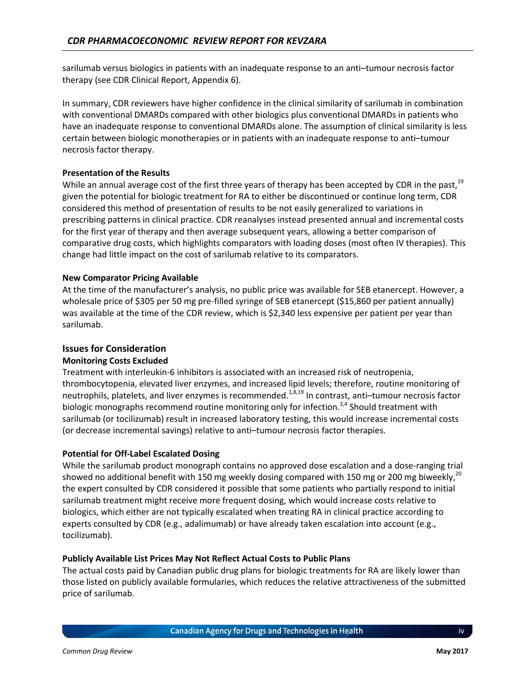sarilumab versus biologics in patients with an inadequate response to an anti–tumour necrosis factor therapy (see CDR Clinical Report, Appendix 6).

In summary, CDR reviewers have higher confidence in the clinical similarity of sarilumab in combination with conventional DMARDs compared with other biologics plus conventional DMARDs in patients who have an inadequate response to conventional DMARDs alone. The assumption of clinical similarity is less certain between biologic monotherapies or in patients with an inadequate response to anti–tumour necrosis factor therapy.

#### **Presentation of the Results**

While an annual average cost of the first three years of therapy has been accepted by CDR in the past,<sup>19</sup> given the potential for biologic treatment for RA to either be discontinued or continue long term, CDR considered this method of presentation of results to be not easily generalized to variations in prescribing patterns in clinical practice. CDR reanalyses instead presented annual and incremental costs for the first year of therapy and then average subsequent years, allowing a better comparison of comparative drug costs, which highlights comparators with loading doses (most often IV therapies). This change had little impact on the cost of sarilumab relative to its comparators.

#### **New Comparator Pricing Available**

At the time of the manufacturer's analysis, no public price was available for SEB etanercept. However, a wholesale price of \$305 per 50 mg pre-filled syringe of SEB etanercept (\$15,860 per patient annually) was available at the time of the CDR review, which is \$2,340 less expensive per patient per year than sarilumab.

#### **Issues for Consideration**

#### **Monitoring Costs Excluded**

Treatment with interleukin-6 inhibitors is associated with an increased risk of neutropenia, thrombocytopenia, elevated liver enzymes, and increased lipid levels; therefore, routine monitoring of neutrophils, platelets, and liver enzymes is recommended.<sup>1,8,19</sup> In contrast, anti-tumour necrosis factor biologic monographs recommend routine monitoring only for infection.<sup>3,4</sup> Should treatment with sarilumab (or tocilizumab) result in increased laboratory testing, this would increase incremental costs (or decrease incremental savings) relative to anti–tumour necrosis factor therapies.

#### **Potential for Off-Label Escalated Dosing**

While the sarilumab product monograph contains no approved dose escalation and a dose-ranging trial showed no additional benefit with 150 mg weekly dosing compared with 150 mg or 200 mg biweekly, $^{20}$ the expert consulted by CDR considered it possible that some patients who partially respond to initial sarilumab treatment might receive more frequent dosing, which would increase costs relative to biologics, which either are not typically escalated when treating RA in clinical practice according to experts consulted by CDR (e.g., adalimumab) or have already taken escalation into account (e.g., tocilizumab).

#### **Publicly Available List Prices May Not Reflect Actual Costs to Public Plans**

The actual costs paid by Canadian public drug plans for biologic treatments for RA are likely lower than those listed on publicly available formularies, which reduces the relative attractiveness of the submitted price of sarilumab.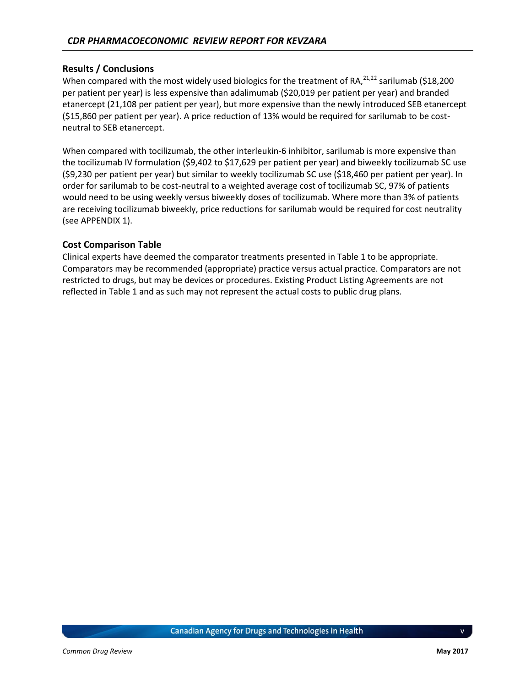#### **Results / Conclusions**

When compared with the most widely used biologics for the treatment of RA,  $21,222$  sarilumab (\$18,200) per patient per year) is less expensive than adalimumab (\$20,019 per patient per year) and branded etanercept (21,108 per patient per year), but more expensive than the newly introduced SEB etanercept (\$15,860 per patient per year). A price reduction of 13% would be required for sarilumab to be costneutral to SEB etanercept.

When compared with tocilizumab, the other interleukin-6 inhibitor, sarilumab is more expensive than the tocilizumab IV formulation (\$9,402 to \$17,629 per patient per year) and biweekly tocilizumab SC use (\$9,230 per patient per year) but similar to weekly tocilizumab SC use (\$18,460 per patient per year). In order for sarilumab to be cost-neutral to a weighted average cost of tocilizumab SC, 97% of patients would need to be using weekly versus biweekly doses of tocilizumab. Where more than 3% of patients are receiving tocilizumab biweekly, price reductions for sarilumab would be required for cost neutrality (see [APPENDIX 1\)](#page-9-0).

#### **Cost Comparison Table**

Clinical experts have deemed the comparator treatments presented in Table 1 to be appropriate. Comparators may be recommended (appropriate) practice versus actual practice. Comparators are not restricted to drugs, but may be devices or procedures. Existing Product Listing Agreements are not reflected in Table 1 and as such may not represent the actual costs to public drug plans.

v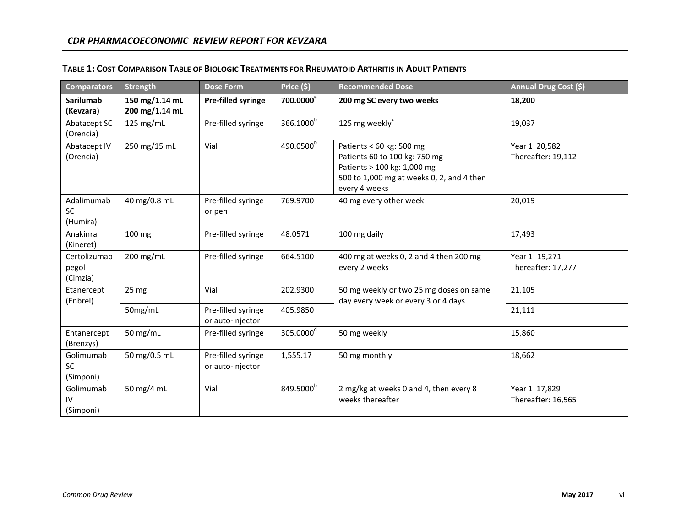<span id="page-7-0"></span>

| <b>Comparators</b>                  | <b>Strength</b>                  | <b>Dose Form</b>                       | Price (\$)            | <b>Recommended Dose</b>                                                                                                                                | Annual Drug Cost (\$)                |
|-------------------------------------|----------------------------------|----------------------------------------|-----------------------|--------------------------------------------------------------------------------------------------------------------------------------------------------|--------------------------------------|
| <b>Sarilumab</b><br>(Kevzara)       | 150 mg/1.14 mL<br>200 mg/1.14 mL | Pre-filled syringe                     | 700.0000 <sup>a</sup> | 200 mg SC every two weeks                                                                                                                              | 18,200                               |
| Abatacept SC<br>(Orencia)           | 125 mg/mL                        | Pre-filled syringe                     | 366.1000 <sup>b</sup> | 125 mg weekly <sup>c</sup>                                                                                                                             | 19,037                               |
| Abatacept IV<br>(Orencia)           | 250 mg/15 mL                     | Vial                                   | 490.0500 <sup>b</sup> | Patients < 60 kg: 500 mg<br>Patients 60 to 100 kg: 750 mg<br>Patients > 100 kg: 1,000 mg<br>500 to 1,000 mg at weeks 0, 2, and 4 then<br>every 4 weeks | Year 1:20,582<br>Thereafter: 19,112  |
| Adalimumab<br><b>SC</b><br>(Humira) | 40 mg/0.8 mL                     | Pre-filled syringe<br>or pen           | 769.9700              | 40 mg every other week                                                                                                                                 | 20,019                               |
| Anakinra<br>(Kineret)               | 100 mg                           | Pre-filled syringe                     | 48.0571               | 100 mg daily                                                                                                                                           | 17,493                               |
| Certolizumab<br>pegol<br>(Cimzia)   | 200 mg/mL                        | Pre-filled syringe                     | 664.5100              | 400 mg at weeks 0, 2 and 4 then 200 mg<br>every 2 weeks                                                                                                | Year 1: 19,271<br>Thereafter: 17,277 |
| Etanercept<br>(Enbrel)              | 25 <sub>mg</sub>                 | Vial                                   | 202.9300              | 50 mg weekly or two 25 mg doses on same<br>day every week or every 3 or 4 days                                                                         | 21,105                               |
|                                     | 50mg/mL                          | Pre-filled syringe<br>or auto-injector | 405.9850              |                                                                                                                                                        | 21,111                               |
| Entanercept<br>(Brenzys)            | 50 mg/mL                         | Pre-filled syringe                     | 305.0000 <sup>d</sup> | 50 mg weekly                                                                                                                                           | 15,860                               |
| Golimumab<br><b>SC</b><br>(Simponi) | 50 mg/0.5 mL                     | Pre-filled syringe<br>or auto-injector | 1,555.17              | 50 mg monthly                                                                                                                                          | 18,662                               |
| Golimumab<br>I۷<br>(Simponi)        | 50 mg/4 mL                       | Vial                                   | 849.5000 <sup>b</sup> | 2 mg/kg at weeks 0 and 4, then every 8<br>weeks thereafter                                                                                             | Year 1: 17,829<br>Thereafter: 16,565 |

## TABLE 1: COST COMPARISON TABLE OF BIOLOGIC TREATMENTS FOR RHEUMATOID ARTHRITIS IN ADULT PATIENTS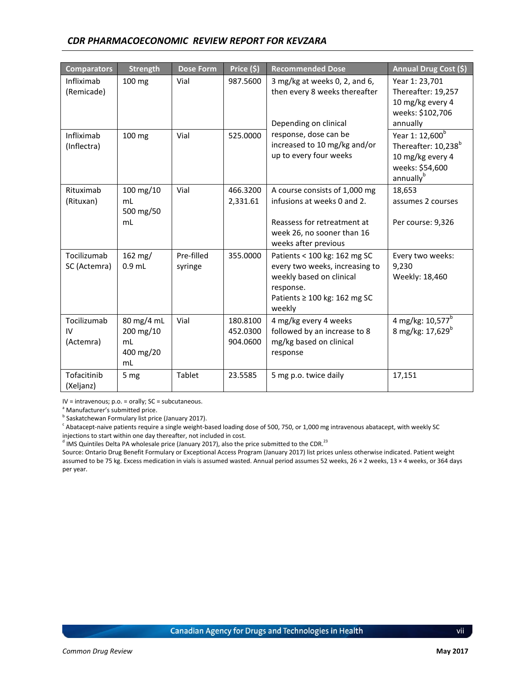### *CDR PHARMACOECONOMIC REVIEW REPORT FOR KEVZARA*

| <b>Comparators</b>             | <b>Strength</b>                                  | <b>Dose Form</b>      | Price (\$)                       | <b>Recommended Dose</b>                                                                                                                                | Annual Drug Cost (\$)                                                                                                          |  |  |
|--------------------------------|--------------------------------------------------|-----------------------|----------------------------------|--------------------------------------------------------------------------------------------------------------------------------------------------------|--------------------------------------------------------------------------------------------------------------------------------|--|--|
| Infliximab<br>(Remicade)       | 100 mg                                           | Vial                  | 987.5600                         | 3 mg/kg at weeks $0$ , $2$ , and $6$ ,<br>then every 8 weeks thereafter<br>Depending on clinical                                                       | Year 1: 23,701<br>Thereafter: 19,257<br>10 mg/kg every 4<br>weeks: \$102,706<br>annually                                       |  |  |
| Infliximab<br>(Inflectra)      | 100 mg                                           | Vial                  | 525.0000                         | response, dose can be<br>increased to 10 mg/kg and/or<br>up to every four weeks                                                                        | Year 1: 12,600 <sup>b</sup><br>Thereafter: 10,238 <sup>b</sup><br>10 mg/kg every 4<br>weeks: \$54,600<br>annually <sup>b</sup> |  |  |
| Rituximab<br>(Rituxan)         | 100 mg/10<br>mL<br>500 mg/50<br>mL               | Vial                  | 466.3200<br>2,331.61             | A course consists of 1,000 mg<br>infusions at weeks 0 and 2.<br>Reassess for retreatment at<br>week 26, no sooner than 16<br>weeks after previous      | 18,653<br>assumes 2 courses<br>Per course: 9,326                                                                               |  |  |
| Tocilizumab<br>SC (Actemra)    | 162 mg/<br>$0.9$ mL                              | Pre-filled<br>syringe | 355.0000                         | Patients < 100 kg: 162 mg SC<br>every two weeks, increasing to<br>weekly based on clinical<br>response.<br>Patients $\geq 100$ kg: 162 mg SC<br>weekly | Every two weeks:<br>9,230<br>Weekly: 18,460                                                                                    |  |  |
| Tocilizumab<br>IV<br>(Actemra) | 80 mg/4 mL<br>200 mg/10<br>mL<br>400 mg/20<br>mL | Vial                  | 180.8100<br>452.0300<br>904.0600 | 4 mg/kg every 4 weeks<br>followed by an increase to 8<br>mg/kg based on clinical<br>response                                                           | 4 mg/kg: 10,577 <sup>b</sup><br>8 mg/kg: 17,629 <sup>b</sup>                                                                   |  |  |
| Tofacitinib<br>(Xeljanz)       | 5 mg                                             | Tablet                | 23.5585                          | 5 mg p.o. twice daily                                                                                                                                  | 17,151                                                                                                                         |  |  |

IV = intravenous; p.o. = orally; SC = subcutaneous.

<sup>a</sup> Manufacturer's submitted price.

<sup>b</sup> Saskatchewan Formulary list price (January 2017).

<sup>c</sup> Abatacept-naive patients require a single weight-based loading dose of 500, 750, or 1,000 mg intravenous abatacept, with weekly SC injections to start within one day thereafter, not included in cost.

 $^{\text{d}}$  IMS Quintiles Delta PA wholesale price (January 2017), also the price submitted to the CDR.<sup>23</sup>

Source: Ontario Drug Benefit Formulary or Exceptional Access Program (January 2017) list prices unless otherwise indicated. Patient weight assumed to be 75 kg. Excess medication in vials is assumed wasted. Annual period assumes 52 weeks, 26 × 2 weeks, 13 × 4 weeks, or 364 days per year.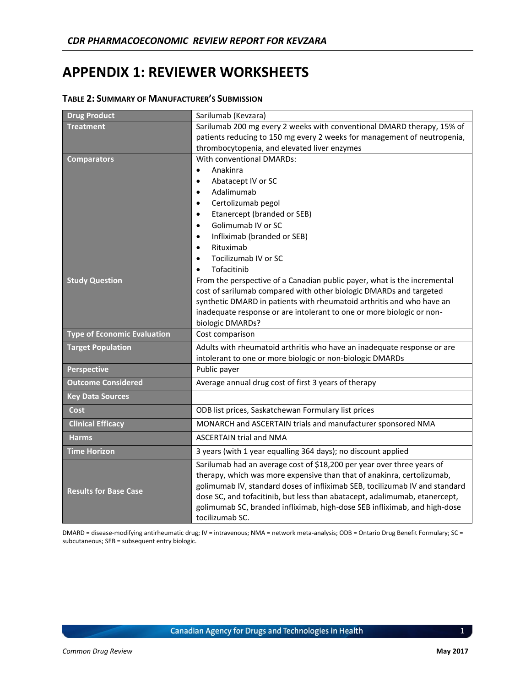## <span id="page-9-0"></span>**APPENDIX 1: REVIEWER WORKSHEETS**

| <b>Drug Product</b>                | Sarilumab (Kevzara)                                                                                                                                                                                                                                                                                                                                                                                           |  |  |  |  |  |  |
|------------------------------------|---------------------------------------------------------------------------------------------------------------------------------------------------------------------------------------------------------------------------------------------------------------------------------------------------------------------------------------------------------------------------------------------------------------|--|--|--|--|--|--|
| <b>Treatment</b>                   | Sarilumab 200 mg every 2 weeks with conventional DMARD therapy, 15% of                                                                                                                                                                                                                                                                                                                                        |  |  |  |  |  |  |
|                                    | patients reducing to 150 mg every 2 weeks for management of neutropenia,                                                                                                                                                                                                                                                                                                                                      |  |  |  |  |  |  |
|                                    | thrombocytopenia, and elevated liver enzymes                                                                                                                                                                                                                                                                                                                                                                  |  |  |  |  |  |  |
| <b>Comparators</b>                 | With conventional DMARDs:                                                                                                                                                                                                                                                                                                                                                                                     |  |  |  |  |  |  |
|                                    | Anakinra                                                                                                                                                                                                                                                                                                                                                                                                      |  |  |  |  |  |  |
|                                    | Abatacept IV or SC                                                                                                                                                                                                                                                                                                                                                                                            |  |  |  |  |  |  |
|                                    | Adalimumab<br>$\bullet$                                                                                                                                                                                                                                                                                                                                                                                       |  |  |  |  |  |  |
|                                    | Certolizumab pegol                                                                                                                                                                                                                                                                                                                                                                                            |  |  |  |  |  |  |
|                                    | Etanercept (branded or SEB)<br>$\bullet$<br>Golimumab IV or SC                                                                                                                                                                                                                                                                                                                                                |  |  |  |  |  |  |
|                                    |                                                                                                                                                                                                                                                                                                                                                                                                               |  |  |  |  |  |  |
|                                    | Infliximab (branded or SEB)<br>Rituximab<br>$\bullet$                                                                                                                                                                                                                                                                                                                                                         |  |  |  |  |  |  |
|                                    | Tocilizumab IV or SC                                                                                                                                                                                                                                                                                                                                                                                          |  |  |  |  |  |  |
|                                    | Tofacitinib                                                                                                                                                                                                                                                                                                                                                                                                   |  |  |  |  |  |  |
| <b>Study Question</b>              | From the perspective of a Canadian public payer, what is the incremental                                                                                                                                                                                                                                                                                                                                      |  |  |  |  |  |  |
|                                    | cost of sarilumab compared with other biologic DMARDs and targeted                                                                                                                                                                                                                                                                                                                                            |  |  |  |  |  |  |
|                                    | synthetic DMARD in patients with rheumatoid arthritis and who have an                                                                                                                                                                                                                                                                                                                                         |  |  |  |  |  |  |
|                                    | inadequate response or are intolerant to one or more biologic or non-                                                                                                                                                                                                                                                                                                                                         |  |  |  |  |  |  |
|                                    | biologic DMARDs?                                                                                                                                                                                                                                                                                                                                                                                              |  |  |  |  |  |  |
| <b>Type of Economic Evaluation</b> | Cost comparison                                                                                                                                                                                                                                                                                                                                                                                               |  |  |  |  |  |  |
| <b>Target Population</b>           | Adults with rheumatoid arthritis who have an inadequate response or are                                                                                                                                                                                                                                                                                                                                       |  |  |  |  |  |  |
|                                    | intolerant to one or more biologic or non-biologic DMARDs                                                                                                                                                                                                                                                                                                                                                     |  |  |  |  |  |  |
| Perspective                        | Public payer                                                                                                                                                                                                                                                                                                                                                                                                  |  |  |  |  |  |  |
| <b>Outcome Considered</b>          | Average annual drug cost of first 3 years of therapy                                                                                                                                                                                                                                                                                                                                                          |  |  |  |  |  |  |
| <b>Key Data Sources</b>            |                                                                                                                                                                                                                                                                                                                                                                                                               |  |  |  |  |  |  |
| Cost                               | ODB list prices, Saskatchewan Formulary list prices                                                                                                                                                                                                                                                                                                                                                           |  |  |  |  |  |  |
| <b>Clinical Efficacy</b>           | MONARCH and ASCERTAIN trials and manufacturer sponsored NMA                                                                                                                                                                                                                                                                                                                                                   |  |  |  |  |  |  |
| <b>Harms</b>                       | <b>ASCERTAIN trial and NMA</b>                                                                                                                                                                                                                                                                                                                                                                                |  |  |  |  |  |  |
| <b>Time Horizon</b>                | 3 years (with 1 year equalling 364 days); no discount applied                                                                                                                                                                                                                                                                                                                                                 |  |  |  |  |  |  |
| <b>Results for Base Case</b>       | Sarilumab had an average cost of \$18,200 per year over three years of<br>therapy, which was more expensive than that of anakinra, certolizumab,<br>golimumab IV, standard doses of infliximab SEB, tocilizumab IV and standard<br>dose SC, and tofacitinib, but less than abatacept, adalimumab, etanercept,<br>golimumab SC, branded infliximab, high-dose SEB infliximab, and high-dose<br>tocilizumab SC. |  |  |  |  |  |  |

#### <span id="page-9-1"></span>**TABLE 2: SUMMARY OF MANUFACTURER'S SUBMISSION**

DMARD = disease-modifying antirheumatic drug; IV = intravenous; NMA = network meta-analysis; ODB = Ontario Drug Benefit Formulary; SC = subcutaneous; SEB = subsequent entry biologic.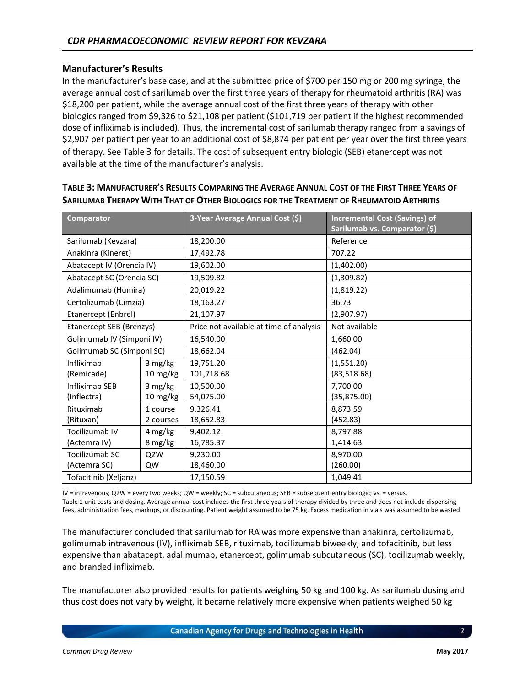#### **Manufacturer's Results**

In the manufacturer's base case, and at the submitted price of \$700 per 150 mg or 200 mg syringe, the average annual cost of sarilumab over the first three years of therapy for rheumatoid arthritis (RA) was \$18,200 per patient, while the average annual cost of the first three years of therapy with other biologics ranged from \$9,326 to \$21,108 per patient (\$101,719 per patient if the highest recommended dose of infliximab is included). Thus, the incremental cost of sarilumab therapy ranged from a savings of \$2,907 per patient per year to an additional cost of \$8,874 per patient per year over the first three years of therapy. See [Table](#page-10-0) 3 for details. The cost of subsequent entry biologic (SEB) etanercept was not available at the time of the manufacturer's analysis.

| <b>Comparator</b>         |                  | 3-Year Average Annual Cost (\$)         | <b>Incremental Cost (Savings) of</b><br>Sarilumab vs. Comparator (\$) |  |
|---------------------------|------------------|-----------------------------------------|-----------------------------------------------------------------------|--|
| Sarilumab (Kevzara)       |                  | 18,200.00                               | Reference                                                             |  |
| Anakinra (Kineret)        |                  | 17,492.78                               | 707.22                                                                |  |
| Abatacept IV (Orencia IV) |                  | 19,602.00                               | (1,402.00)                                                            |  |
| Abatacept SC (Orencia SC) |                  | 19,509.82                               | (1,309.82)                                                            |  |
| Adalimumab (Humira)       |                  | 20,019.22                               | (1,819.22)                                                            |  |
| Certolizumab (Cimzia)     |                  | 18,163.27                               | 36.73                                                                 |  |
| Etanercept (Enbrel)       |                  | 21,107.97                               | (2,907.97)                                                            |  |
| Etanercept SEB (Brenzys)  |                  | Price not available at time of analysis | Not available                                                         |  |
| Golimumab IV (Simponi IV) |                  | 16,540.00                               | 1,660.00                                                              |  |
| Golimumab SC (Simponi SC) |                  | 18,662.04                               | (462.04)                                                              |  |
| Infliximab                | 3 mg/kg          | 19,751.20                               | (1,551.20)                                                            |  |
| (Remicade)                | 10 mg/kg         | 101,718.68                              | (83,518.68)                                                           |  |
| Infliximab SEB            | 3 mg/kg          | 10,500.00                               | 7,700.00                                                              |  |
| (Inflectra)               | 10 mg/kg         | 54,075.00                               | (35, 875.00)                                                          |  |
| Rituximab                 | 1 course         | 9,326.41                                | 8,873.59                                                              |  |
| (Rituxan)                 | 2 courses        | 18,652.83                               | (452.83)                                                              |  |
| Tocilizumab IV            | 4 mg/kg          | 9,402.12                                | 8,797.88                                                              |  |
| (Actemra IV)              | 8 mg/kg          | 16,785.37                               | 1,414.63                                                              |  |
| Tocilizumab SC            | Q <sub>2</sub> W | 9,230.00                                | 8,970.00                                                              |  |
| (Actemra SC)              | QW               | 18,460.00                               | (260.00)                                                              |  |
| Tofacitinib (Xeljanz)     |                  | 17,150.59                               | 1,049.41                                                              |  |

## <span id="page-10-0"></span>TABLE 3: MANUFACTURER'S RESULTS COMPARING THE AVERAGE ANNUAL COST OF THE FIRST THREE YEARS OF **SARILUMAB THERAPY WITH THAT OF OTHER BIOLOGICS FOR THE TREATMENT OF RHEUMATOID ARTHRITIS**

IV = intravenous; Q2W = every two weeks; QW = weekly; SC = subcutaneous; SEB = subsequent entry biologic; vs. = versus. Table 1 unit costs and dosing. Average annual cost includes the first three years of therapy divided by three and does not include dispensing fees, administration fees, markups, or discounting. Patient weight assumed to be 75 kg. Excess medication in vials was assumed to be wasted.

The manufacturer concluded that sarilumab for RA was more expensive than anakinra, certolizumab, golimumab intravenous (IV), infliximab SEB, rituximab, tocilizumab biweekly, and tofacitinib, but less expensive than abatacept, adalimumab, etanercept, golimumab subcutaneous (SC), tocilizumab weekly, and branded infliximab.

The manufacturer also provided results for patients weighing 50 kg and 100 kg. As sarilumab dosing and thus cost does not vary by weight, it became relatively more expensive when patients weighed 50 kg

Canadian Agency for Drugs and Technologies in Health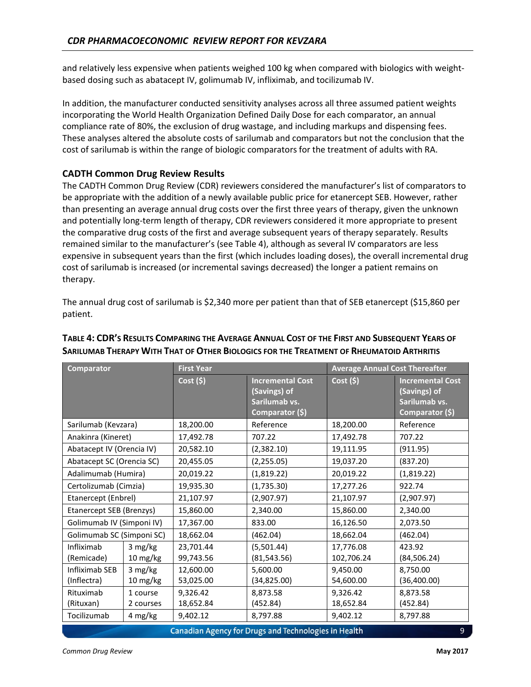and relatively less expensive when patients weighed 100 kg when compared with biologics with weightbased dosing such as abatacept IV, golimumab IV, infliximab, and tocilizumab IV.

In addition, the manufacturer conducted sensitivity analyses across all three assumed patient weights incorporating the World Health Organization Defined Daily Dose for each comparator, an annual compliance rate of 80%, the exclusion of drug wastage, and including markups and dispensing fees. These analyses altered the absolute costs of sarilumab and comparators but not the conclusion that the cost of sarilumab is within the range of biologic comparators for the treatment of adults with RA.

## **CADTH Common Drug Review Results**

The CADTH Common Drug Review (CDR) reviewers considered the manufacturer's list of comparators to be appropriate with the addition of a newly available public price for etanercept SEB. However, rather than presenting an average annual drug costs over the first three years of therapy, given the unknown and potentially long-term length of therapy, CDR reviewers considered it more appropriate to present the comparative drug costs of the first and average subsequent years of therapy separately. Results remained similar to the manufacturer's (see [Table 4\)](#page-11-0), although as several IV comparators are less expensive in subsequent years than the first (which includes loading doses), the overall incremental drug cost of sarilumab is increased (or incremental savings decreased) the longer a patient remains on therapy.

The annual drug cost of sarilumab is \$2,340 more per patient than that of SEB etanercept (\$15,860 per patient.

| <b>Comparator</b>                                         |                     | <b>First Year</b>                                                                      |                            | <b>Average Annual Cost Thereafter</b> |                                                                             |  |  |
|-----------------------------------------------------------|---------------------|----------------------------------------------------------------------------------------|----------------------------|---------------------------------------|-----------------------------------------------------------------------------|--|--|
|                                                           |                     | Cost(5)<br><b>Incremental Cost</b><br>(Savings) of<br>Sarilumab vs.<br>Comparator (\$) |                            | $Cost($ \$)                           | <b>Incremental Cost</b><br>(Savings) of<br>Sarilumab vs.<br>Comparator (\$) |  |  |
| Sarilumab (Kevzara)                                       |                     | 18,200.00                                                                              | Reference                  | 18,200.00                             | Reference                                                                   |  |  |
| Anakinra (Kineret)                                        |                     | 17,492.78                                                                              | 707.22                     | 17,492.78                             | 707.22                                                                      |  |  |
| Abatacept IV (Orencia IV)                                 |                     | 20,582.10                                                                              | (2,382.10)                 | 19,111.95                             | (911.95)                                                                    |  |  |
| Abatacept SC (Orencia SC)                                 |                     | 20,455.05                                                                              | (2,255.05)                 | 19,037.20                             | (837.20)                                                                    |  |  |
| Adalimumab (Humira)                                       |                     | 20,019.22                                                                              | (1,819.22)                 | 20,019.22                             | (1,819.22)                                                                  |  |  |
| Certolizumab (Cimzia)                                     |                     | 19,935.30                                                                              | (1,735.30)                 | 17,277.26                             | 922.74                                                                      |  |  |
| Etanercept (Enbrel)                                       |                     | 21,107.97                                                                              | (2,907.97)                 | 21,107.97                             | (2,907.97)                                                                  |  |  |
| Etanercept SEB (Brenzys)                                  |                     | 15,860.00                                                                              | 2,340.00                   | 15,860.00                             | 2,340.00                                                                    |  |  |
| Golimumab IV (Simponi IV)                                 |                     | 17,367.00                                                                              | 833.00                     | 16,126.50                             | 2,073.50                                                                    |  |  |
| Golimumab SC (Simponi SC)                                 |                     | 18,662.04                                                                              | (462.04)                   | 18,662.04                             | (462.04)                                                                    |  |  |
| Infliximab<br>(Remicade)                                  | 3 mg/kg<br>10 mg/kg | 23,701.44<br>99,743.56                                                                 | (5,501.44)<br>(81, 543.56) | 17,776.08<br>102,706.24               | 423.92<br>(84, 506.24)                                                      |  |  |
| Infliximab SEB<br>(Inflectra)                             | 3 mg/kg<br>10 mg/kg | 12,600.00<br>53,025.00                                                                 | 5,600.00<br>(34, 825.00)   | 9,450.00<br>54,600.00                 | 8,750.00<br>(36,400.00)                                                     |  |  |
| Rituximab<br>1 course<br>(Rituxan)<br>2 courses           |                     | 9,326.42<br>8,873.58<br>9,326.42<br>18,652.84<br>(452.84)<br>18,652.84                 |                            | 8,873.58<br>(452.84)                  |                                                                             |  |  |
| Tocilizumab<br>4 mg/kg                                    |                     | 9,402.12                                                                               | 8,797.88                   | 9,402.12                              | 8,797.88                                                                    |  |  |
| Canadian Agency for Drugs and Technologies in Health<br>9 |                     |                                                                                        |                            |                                       |                                                                             |  |  |

## <span id="page-11-0"></span>TABLE 4: CDR'S RESULTS COMPARING THE AVERAGE ANNUAL COST OF THE FIRST AND SUBSEQUENT YEARS OF **SARILUMAB THERAPY WITH THAT OF OTHER BIOLOGICS FOR THE TREATMENT OF RHEUMATOID ARTHRITIS**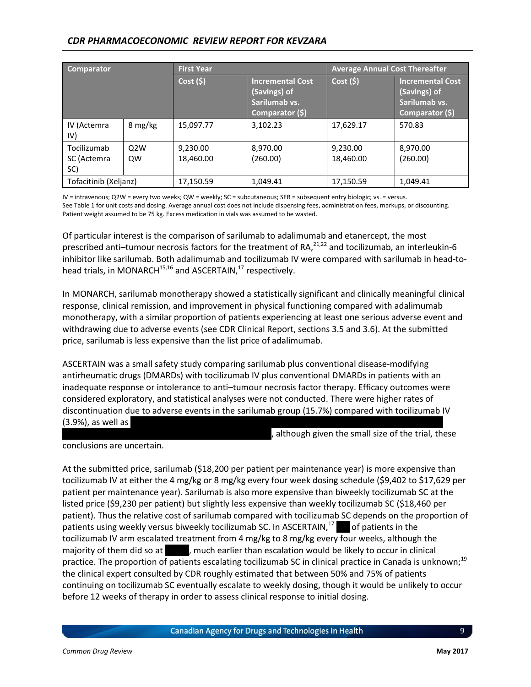## *CDR PHARMACOECONOMIC REVIEW REPORT FOR KEVZARA*

| <b>Comparator</b>                 |           | <b>First Year</b>     |                                                                             | <b>Average Annual Cost Thereafter</b> |                                                                             |  |
|-----------------------------------|-----------|-----------------------|-----------------------------------------------------------------------------|---------------------------------------|-----------------------------------------------------------------------------|--|
|                                   |           | Cost(5)               | <b>Incremental Cost</b><br>(Savings) of<br>Sarilumab vs.<br>Comparator (\$) | Cost(5)                               | <b>Incremental Cost</b><br>(Savings) of<br>Sarilumab vs.<br>Comparator (\$) |  |
| IV (Actemra<br>IV)                | 8 mg/kg   | 15,097.77             | 3,102.23                                                                    | 17,629.17                             | 570.83                                                                      |  |
| Tocilizumab<br>SC (Actemra<br>SC) | O2W<br>QW | 9,230.00<br>18,460.00 | 8,970.00<br>(260.00)                                                        | 9,230.00<br>18,460.00                 | 8,970.00<br>(260.00)                                                        |  |
| Tofacitinib (Xeljanz)             |           | 17,150.59             | 1,049.41                                                                    | 17,150.59                             | 1,049.41                                                                    |  |

IV = intravenous; Q2W = every two weeks; QW = weekly; SC = subcutaneous; SEB = subsequent entry biologic; vs. = versus. See [Table 1](#page-7-0) for unit costs and dosing. Average annual cost does not include dispensing fees, administration fees, markups, or discounting. Patient weight assumed to be 75 kg. Excess medication in vials was assumed to be wasted.

Of particular interest is the comparison of sarilumab to adalimumab and etanercept, the most prescribed anti-tumour necrosis factors for the treatment of RA,<sup>21,22</sup> and tocilizumab, an interleukin-6 inhibitor like sarilumab. Both adalimumab and tocilizumab IV were compared with sarilumab in head-tohead trials, in MONARCH $^{15,16}$  and ASCERTAIN, $^{17}$  respectively.

In MONARCH, sarilumab monotherapy showed a statistically significant and clinically meaningful clinical response, clinical remission, and improvement in physical functioning compared with adalimumab monotherapy, with a similar proportion of patients experiencing at least one serious adverse event and withdrawing due to adverse events (see CDR Clinical Report, sections 3.5 and 3.6). At the submitted price, sarilumab is less expensive than the list price of adalimumab.

ASCERTAIN was a small safety study comparing sarilumab plus conventional disease-modifying antirheumatic drugs (DMARDs) with tocilizumab IV plus conventional DMARDs in patients with an inadequate response or intolerance to anti–tumour necrosis factor therapy. Efficacy outcomes were considered exploratory, and statistical analyses were not conducted. There were higher rates of discontinuation due to adverse events in the sarilumab group (15.7%) compared with tocilizumab IV  $(3.9%)$ , as well as

although given the small size of the trial, these

conclusions are uncertain.

At the submitted price, sarilumab (\$18,200 per patient per maintenance year) is more expensive than tocilizumab IV at either the 4 mg/kg or 8 mg/kg every four week dosing schedule (\$9,402 to \$17,629 per patient per maintenance year). Sarilumab is also more expensive than biweekly tocilizumab SC at the listed price (\$9,230 per patient) but slightly less expensive than weekly tocilizumab SC (\$18,460 per patient). Thus the relative cost of sarilumab compared with tocilizumab SC depends on the proportion of patients using weekly versus biweekly tocilizumab SC. In ASCERTAIN, $^{17}$  of patients in the tocilizumab IV arm escalated treatment from 4 mg/kg to 8 mg/kg every four weeks, although the majority of them did so at v, much earlier than escalation would be likely to occur in clinical practice. The proportion of patients escalating tocilizumab SC in clinical practice in Canada is unknown;<sup>19</sup> the clinical expert consulted by CDR roughly estimated that between 50% and 75% of patients continuing on tocilizumab SC eventually escalate to weekly dosing, though it would be unlikely to occur before 12 weeks of therapy in order to assess clinical response to initial dosing.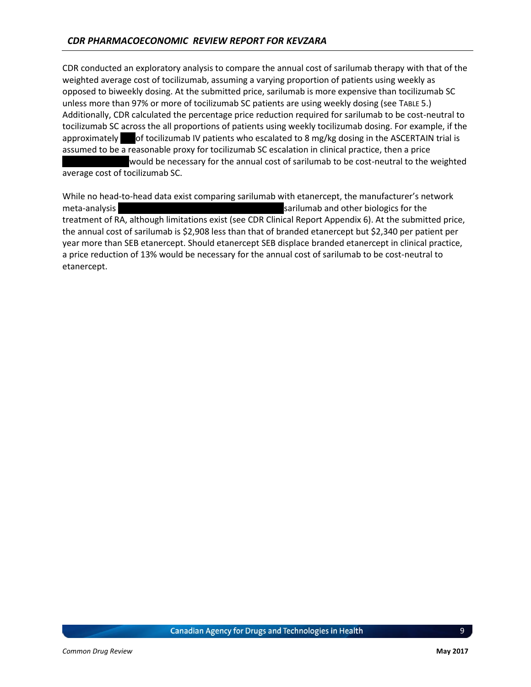CDR conducted an exploratory analysis to compare the annual cost of sarilumab therapy with that of the weighted average cost of tocilizumab, assuming a varying proportion of patients using weekly as opposed to biweekly dosing. At the submitted price, sarilumab is more expensive than tocilizumab SC unless more than 97% or more of tocilizumab SC patients are using weekly dosing (see T[ABLE](#page-14-0) 5.) Additionally, CDR calculated the percentage price reduction required for sarilumab to be cost-neutral to tocilizumab SC across the all proportions of patients using weekly tocilizumab dosing. For example, if the approximately of tocilizumab IV patients who escalated to 8 mg/kg dosing in the ASCERTAIN trial is assumed to be a reasonable proxy for tocilizumab SC escalation in clinical practice, then a price would be necessary for the annual cost of sarilumab to be cost-neutral to the weighted

average cost of tocilizumab SC.

While no head-to-head data exist comparing sarilumab with etanercept, the manufacturer's network meta-analysis vvvvvviva varianalysis vvarings varilumab and other biologics for the treatment of RA, although limitations exist (see CDR Clinical Report Appendix 6). At the submitted price, the annual cost of sarilumab is \$2,908 less than that of branded etanercept but \$2,340 per patient per year more than SEB etanercept. Should etanercept SEB displace branded etanercept in clinical practice, a price reduction of 13% would be necessary for the annual cost of sarilumab to be cost-neutral to etanercept.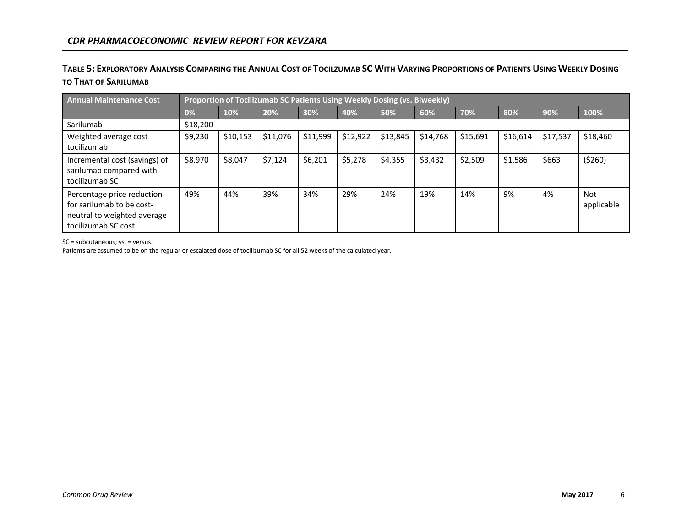## TABLE 5: EXPLORATORY ANALYSIS COMPARING THE ANNUAL COST OF TOCILZUMAB SC WITH VARYING PROPORTIONS OF PATIENTS USING WEEKLY DOSING **TO THAT OF SARILUMAB**

| <b>Annual Maintenance Cost</b>                                                                                |          | Proportion of Tocilizumab SC Patients Using Weekly Dosing (vs. Biweekly) |          |          |          |          |          |          |          |          |                          |
|---------------------------------------------------------------------------------------------------------------|----------|--------------------------------------------------------------------------|----------|----------|----------|----------|----------|----------|----------|----------|--------------------------|
|                                                                                                               | 0%       | 10%                                                                      | 20%      | 30%      | 40%      | 50%      | 60%      | 70%      | 80%      | 90%      | 100%                     |
| Sarilumab                                                                                                     | \$18,200 |                                                                          |          |          |          |          |          |          |          |          |                          |
| Weighted average cost<br>tocilizumab                                                                          | \$9,230  | \$10,153                                                                 | \$11,076 | \$11,999 | \$12,922 | \$13,845 | \$14,768 | \$15,691 | \$16,614 | \$17,537 | \$18,460                 |
| Incremental cost (savings) of<br>sarilumab compared with<br>tocilizumab SC                                    | \$8,970  | \$8,047                                                                  | \$7,124  | \$6,201  | \$5,278  | \$4,355  | \$3,432  | \$2,509  | \$1,586  | \$663    | (5260)                   |
| Percentage price reduction<br>for sarilumab to be cost-<br>neutral to weighted average<br>tocilizumab SC cost | 49%      | 44%                                                                      | 39%      | 34%      | 29%      | 24%      | 19%      | 14%      | 9%       | 4%       | <b>Not</b><br>applicable |

<span id="page-14-0"></span>SC = subcutaneous; vs. = versus.

Patients are assumed to be on the regular or escalated dose of tocilizumab SC for all 52 weeks of the calculated year.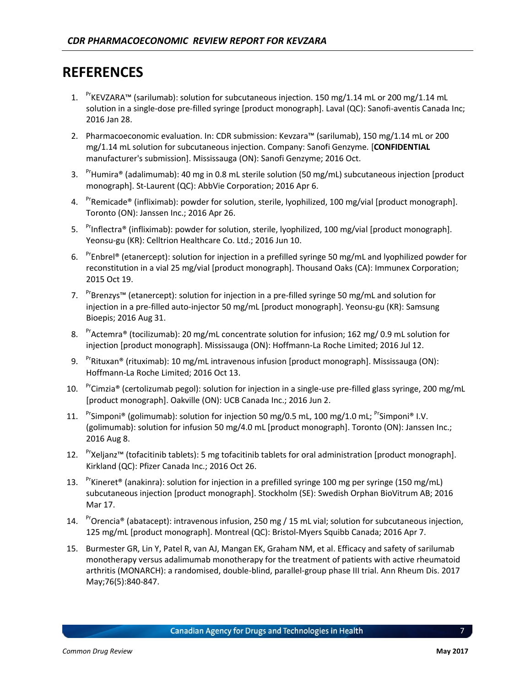## <span id="page-15-0"></span>**REFERENCES**

- 1.  $P^r$ KEVZARA™ (sarilumab): solution for subcutaneous injection. 150 mg/1.14 mL or 200 mg/1.14 mL solution in a single-dose pre-filled syringe [product monograph]. Laval (QC): Sanofi-aventis Canada Inc; 2016 Jan 28.
- 2. Pharmacoeconomic evaluation. In: CDR submission: Kevzara™ (sarilumab), 150 mg/1.14 mL or 200 mg/1.14 mL solution for subcutaneous injection. Company: Sanofi Genzyme*.* [**CONFIDENTIAL**  manufacturer's submission]. Mississauga (ON): Sanofi Genzyme; 2016 Oct.
- 3. PrHumira® (adalimumab): 40 mg in 0.8 mL sterile solution (50 mg/mL) subcutaneous injection [product] monograph]. St-Laurent (QC): AbbVie Corporation; 2016 Apr 6.
- 4. <sup>Pr</sup>Remicade<sup>®</sup> (infliximab): powder for solution, sterile, lyophilized, 100 mg/vial [product monograph]. Toronto (ON): Janssen Inc.; 2016 Apr 26.
- 5. Prinflectra® (infliximab): powder for solution, sterile, lyophilized, 100 mg/vial [product monograph]. Yeonsu-gu (KR): Celltrion Healthcare Co. Ltd.; 2016 Jun 10.
- 6. <sup>Pr</sup>Enbrel<sup>®</sup> (etanercept): solution for injection in a prefilled syringe 50 mg/mL and lyophilized powder for reconstitution in a vial 25 mg/vial [product monograph]. Thousand Oaks (CA): Immunex Corporation; 2015 Oct 19.
- 7. <sup>Pr</sup>Brenzys™ (etanercept): solution for injection in a pre-filled syringe 50 mg/mL and solution for injection in a pre-filled auto-injector 50 mg/mL [product monograph]. Yeonsu-gu (KR): Samsung Bioepis; 2016 Aug 31.
- 8. Pr<sub>Actemra</sub>® (tocilizumab): 20 mg/mL concentrate solution for infusion; 162 mg/ 0.9 mL solution for injection [product monograph]. Mississauga (ON): Hoffmann-La Roche Limited; 2016 Jul 12.
- 9.  $P^r$ Rituxan® (rituximab): 10 mg/mL intravenous infusion [product monograph]. Mississauga (ON): Hoffmann-La Roche Limited; 2016 Oct 13.
- 10.  $P^r$ Cimzia® (certolizumab pegol): solution for injection in a single-use pre-filled glass syringe, 200 mg/mL [product monograph]. Oakville (ON): UCB Canada Inc.; 2016 Jun 2.
- 11. Prsimponi® (golimumab): solution for injection 50 mg/0.5 mL, 100 mg/1.0 mL; <sup>Pr</sup>Simponi® I.V. (golimumab): solution for infusion 50 mg/4.0 mL [product monograph]. Toronto (ON): Janssen Inc.; 2016 Aug 8.
- 12. PrXeljanz™ (tofacitinib tablets): 5 mg tofacitinib tablets for oral administration [product monograph]. Kirkland (QC): Pfizer Canada Inc.; 2016 Oct 26.
- 13. PrKineret<sup>®</sup> (anakinra): solution for injection in a prefilled syringe 100 mg per syringe (150 mg/mL) subcutaneous injection [product monograph]. Stockholm (SE): Swedish Orphan BioVitrum AB; 2016 Mar 17.
- 14. Prorencia® (abatacept): intravenous infusion, 250 mg / 15 mL vial; solution for subcutaneous injection, 125 mg/mL [product monograph]. Montreal (QC): Bristol-Myers Squibb Canada; 2016 Apr 7.
- 15. Burmester GR, Lin Y, Patel R, van AJ, Mangan EK, Graham NM, et al. Efficacy and safety of sarilumab monotherapy versus adalimumab monotherapy for the treatment of patients with active rheumatoid arthritis (MONARCH): a randomised, double-blind, parallel-group phase III trial. Ann Rheum Dis. 2017 May;76(5):840-847.